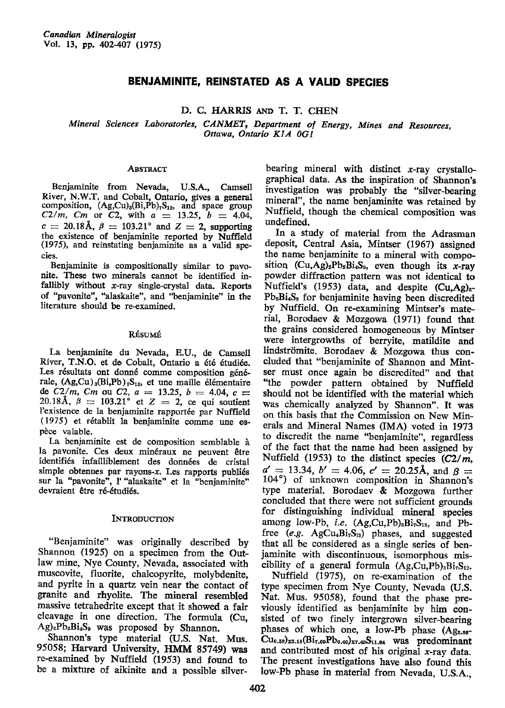# BENJAMINITE, REINSTATED AS A VALID SPECIES

D. C. HARRIS AND T. T. CHEN

Mineral Sciences Laboratories, CANMET, Department of Energy, Mines and Resources, Ottawa, Ontario K1A 0G1

#### **ABSTRACT**

Benjaminite from Nevada, U.S.A., Camsell River, N.W.T. and Cobalt, Ontario, gives a general composition, (Ag,Cu)<sub>3</sub>(Bi,Pb)<sub>7</sub>S<sub>12</sub>, and space group C2/m, Cm or C2, with  $a = 13.25$ ,  $b = 4.04$ ,  $c = 20.18$ Å,  $\beta = 103.21$ ° and  $Z = 2$ , supporting the existence of benjaminite reported by Nuffield (1975), and reinstating benjaminite as a valid species.

Benjaminite is compositionally similar to pavonite. These two minerals cannot be identified infallibly without  $x$ -ray single-crystal data. Reports of "pavonite", "alaskaite", and "benjaminite" in the literature should be re-examined.

## RÉSUMÉ

La benjaminite du Nevada, E.U., de Camsell River, T.N.O. et de Cobalt, Ontario a été étudiée. Les résultats ont donné comme composition générale,  $(Ag,Cu)_{3}(Bi,Pb)_{7}S_{12}$ , et une maille élémentaire de  $C2/m$ , Cm ou C2,  $a = 13.25$ ,  $b = 4.04$ ,  $c = 20.18$ Å,  $\beta = 103.21^{\circ}$  et  $Z = 2$ , ce qui soutient l'existence de la benjaminite rapportée par Nuffield (1975) et rétablit la benjaminite comme une espèce valable.

La benjaminite est de composition semblable à la pavonite. Ces deux minéraux ne peuvent être identifiés infailliblement des données de cristal simple obtenues par rayons-x. Les rapports publiés sur la "pavonite", l' "alaskaite" et la "benjaminite" devraient être ré-étudiés.

### **INTRODUCTION**

"Benjaminite" was originally described by Shannon (1925) on a specimen from the Outlaw mine, Nye County, Nevada, associated with muscovite, fluorite, chalcopyrite, molybdenite, and pyrite in a quartz vein near the contact of granite and rhyolite. The mineral resembled massive tetrahedrite except that it showed a fair cleavage in one direction. The formula (Cu, Ag)<sub>2</sub>Pb<sub>2</sub>Bi<sub>4</sub>S<sub>9</sub> was proposed by Shannon.

Shannon's type material (U.S. Nat. Mus. 95058; Harvard University, HMM 85749) was re-examined by Nuffield (1953) and found to be a mixture of aikinite and a possible silver-

bearing mineral with distinct  $x$ -ray crystallographical data. As the inspiration of Shannon's investigation was probably the "silver-bearing mineral", the name benjaminite was retained by Nuffield, though the chemical composition was undefined.

In a study of material from the Adrasman deposit, Central Asia, Mintser (1967) assigned the name benjaminite to a mineral with composition  $(Cu, Ag)_2Pb_2Bi_4S_9$ , even though its x-ray powder diffraction pattern was not identical to Nuffield's (1953) data, and despite  $(Cu \cdot Ag)_{2}$ Pb<sub>2</sub>Bi<sub>4</sub>S<sub>9</sub> for benjaminite having been discredited by Nuffield. On re-examining Mintser's material, Borodaev & Mozgowa (1971) found that the grains considered homogeneous by Mintser were intergrowths of berryite, matildite and lindströmite. Borodaev & Mozgowa thus concluded that "benjaminite of Shannon and Mintser must once again be discredited" and that "the powder pattern obtained by Nuffield should not be identified with the material which was chemically analyzed by Shannon". It was on this basis that the Commission on New Minerals and Mineral Names (IMA) voted in 1973 to discredit the name "benjaminite", regardless of the fact that the name had been assigned by Nuffield (1953) to the distinct species  $(C2/m)$ .  $a' = 13.34$ ,  $b' = 4.06$ ,  $c' = 20.25$ Å, and  $\beta =$ 104°) of unknown composition in Shannon's type material. Borodaev & Mozgowa further concluded that there were not sufficient grounds for distinguishing individual mineral species among low-Pb, *i.e.*  $(Ag,Cu,Pb)_{3}Bi_{7}S_{12}$ , and Pbfree (e.g. AgCu<sub>4</sub>Bi<sub>7</sub>S<sub>13</sub>) phases, and suggested that all be considered as a single series of benjaminite with discontinuous, isomorphous miscibility of a general formula  $(Ag,Cu,Pb)_{3}Bi_{7}S_{12}$ .

Nuffield (1975), on re-examination of the type specimen from Nye County, Nevada (U.S. Nat. Mus. 95058), found that the phase previously identified as benjaminite by him consisted of two finely intergrown silver-bearing phases of which one, a low-Pb phase (Ag<sub>2.66</sub>-Cu<sub>0.52</sub>)<sub>23.18</sub>(Bi<sub>7.09</sub>Pb<sub>0.40</sub>)<sub>27.49</sub>S<sub>11.64</sub> was predominant and contributed most of his original x-ray data. The present investigations have also found this low-Pb phase in material from Nevada, U.S.A.,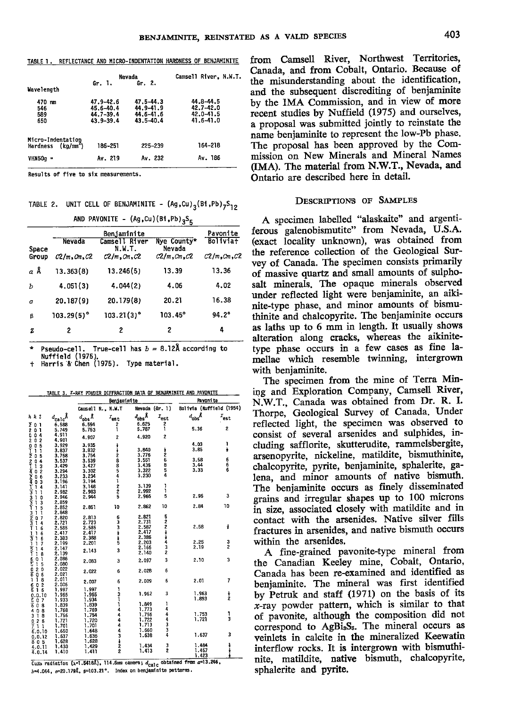TABLE 1. REFLECTANCE AND MICRO-INDENTATION HARDNESS OF BENJAMINITE

|                                                     |                                                          | Nevada                                               | Camsell River, N.W.T                                 |
|-----------------------------------------------------|----------------------------------------------------------|------------------------------------------------------|------------------------------------------------------|
| Wavelength                                          | Gr. $1.$                                                 | Gr. 2.                                               |                                                      |
| 470 mm<br>546<br>589<br>650                         | 47.9-42.6<br>45.6-40.4<br>$44.7 - 39.4$<br>$43.9 - 39.4$ | 47.5-44.3<br>44.9-41.9<br>44.6-41.6<br>$43.5 - 40.4$ | 44.8-44.5<br>42.7-42.0<br>$42.0 - 41.5$<br>41.6-41.0 |
| Micro-Indentation<br>Hardness (kg/mm <sup>2</sup> ) | 186-251                                                  | 225-239                                              | 164-218                                              |
| VHN50a =                                            | Av. 219                                                  | Av. 232                                              | Av. 186                                              |

Results of five to six measurements.

**SUP PRUOUTTE** 

TABLE 2. UNIT CELL OF BENJAMINITE -  $(Ag,Cu)_{2}(Bi, Pb)_{7}S_{12}$ 

 $\mu_{\text{A}}$   $\mu_{\text{B}}$   $\mu_{\text{A}}$   $\mu_{\text{B}}$   $\mu_{\text{B}}$ 

|       |                      |                         | Benjaminite           |                      |  |  |  |  |
|-------|----------------------|-------------------------|-----------------------|----------------------|--|--|--|--|
| Space | <b>Nevada</b>        | Camsell River<br>N.W.T. | Nye County*<br>Nevada | <b>Boliviat</b>      |  |  |  |  |
| Group | $C2/m$ , $Cm$ , $C2$ | $C2/m$ , $Cm$ , $C2$    | $C2/m$ , $Cm$ , $C2$  | $C2/m$ , $Cm$ , $C2$ |  |  |  |  |
| αÅ    | 13.363(8)            | 13.246(5)               | 13.39                 | 13.36                |  |  |  |  |
| Ъ     | 4.051(3)             | 4.044(2)                | 4.06                  | 4.02                 |  |  |  |  |
| c     | 20.187(9)            | 20.179(8)               | 20.21                 | 16.38                |  |  |  |  |
| ₿     | $103.29(5)^{\circ}$  | $103.21(3)$ °           | $103.45^{\circ}$      | 94.2°                |  |  |  |  |
| z     | 2                    | 2                       | 2                     | 4                    |  |  |  |  |

Pseudo-cell. True-cell has  $b = 8.12\text{\AA}$  according to Nuffield (1975).<br>Harris & Chen (1975). Type material.

| TABLE 3. X-RAY POWDER DIFFRACTION DATA OF BENJAMINITE AND PAVONITE |  |  |  |  |  |  |  |  |
|--------------------------------------------------------------------|--|--|--|--|--|--|--|--|
|--------------------------------------------------------------------|--|--|--|--|--|--|--|--|

|                                                                                                                                                              |                                          |                    | Benjaminite         |                                                                          |                             | Pavoni te                |                |  |
|--------------------------------------------------------------------------------------------------------------------------------------------------------------|------------------------------------------|--------------------|---------------------|--------------------------------------------------------------------------|-----------------------------|--------------------------|----------------|--|
|                                                                                                                                                              |                                          |                    | Camsell R., N.W.T   |                                                                          | Nevada (Gr. 1)              | Bolivia (Muffield (1954) |                |  |
| h k l                                                                                                                                                        | $a_{\rm calc}$ Å                         | $d_{\text{obs}}$ Å | $r_{est}$           | $d_{\rm obs}$ Å                                                          | $\mathit{z}_{\textrm{est}}$ | $d_{\rm obs}{}^{\hat K}$ | $T_{est}$      |  |
|                                                                                                                                                              | 6.588                                    | 6.594              | $\frac{2}{1}$       | 6.625                                                                    | $\frac{2}{1}$               |                          |                |  |
|                                                                                                                                                              | 5.749                                    | 5.753              |                     |                                                                          |                             | 5.36                     | 2              |  |
| $\overline{Z}$ 000001120114214264242433141133141344654465746557465526025107845145552652515455526525154555265251545552652515455526517466574665746657466574665 | 4.911                                    | 4.907              | 2                   | 4.920                                                                    | 2                           |                          |                |  |
|                                                                                                                                                              | 4,901                                    |                    |                     |                                                                          |                             |                          |                |  |
|                                                                                                                                                              | 3.929                                    | 3.935              | <b>WHOOBB541225</b> |                                                                          |                             | 4.03                     | ı              |  |
|                                                                                                                                                              | 3.837<br>3.758                           | 3.832<br>3.754     |                     | 3.840<br>3.776                                                           | 45585                       | 3.85                     | ł              |  |
|                                                                                                                                                              |                                          |                    |                     |                                                                          |                             |                          |                |  |
|                                                                                                                                                              | $3.537$<br>$3.429$<br>$3.294$<br>$3.233$ | 3.539              |                     | 3.551                                                                    |                             | 3.58                     | 6<br>6         |  |
|                                                                                                                                                              |                                          | 3.427              |                     | 3.435                                                                    |                             |                          |                |  |
|                                                                                                                                                              |                                          |                    |                     | 3.322<br>3.230                                                           |                             | $3.44$<br>$3.33$         | 6              |  |
|                                                                                                                                                              |                                          | 3.302<br>3.234     |                     |                                                                          |                             |                          |                |  |
|                                                                                                                                                              | 3.196                                    | 3.194              |                     |                                                                          |                             |                          |                |  |
|                                                                                                                                                              | 3.141                                    | 3.148              |                     | 3.139                                                                    | 1                           |                          |                |  |
|                                                                                                                                                              |                                          | 2.983              |                     | 2.992                                                                    | 1                           |                          |                |  |
|                                                                                                                                                              |                                          | 2.944              |                     | 2.966                                                                    | 5                           | 2.96                     | 3              |  |
|                                                                                                                                                              |                                          |                    |                     |                                                                          |                             |                          |                |  |
|                                                                                                                                                              |                                          |                    | 10                  | 2.862                                                                    | 10                          | 2.84                     | 10             |  |
|                                                                                                                                                              |                                          | 2.851              |                     |                                                                          |                             |                          |                |  |
|                                                                                                                                                              |                                          |                    |                     |                                                                          |                             |                          |                |  |
|                                                                                                                                                              |                                          | 2,813              |                     | 2.821                                                                    |                             |                          |                |  |
|                                                                                                                                                              |                                          | 2.723              |                     |                                                                          |                             |                          |                |  |
|                                                                                                                                                              |                                          | 2.585              |                     |                                                                          |                             | 2.58                     | i              |  |
|                                                                                                                                                              |                                          | 2.417              | のことます               |                                                                          | 523724                      |                          |                |  |
|                                                                                                                                                              |                                          | 2.388              |                     |                                                                          |                             |                          |                |  |
|                                                                                                                                                              |                                          | 2,201              |                     |                                                                          |                             | $2.25$<br>$2.19$         | 3<br>2         |  |
|                                                                                                                                                              |                                          | 2.143              | 3                   |                                                                          | 3                           |                          |                |  |
|                                                                                                                                                              |                                          |                    |                     | 2.731<br>2.587<br>2.417<br>2.386<br>2.203<br>2.166<br>2.140              | 2                           |                          |                |  |
|                                                                                                                                                              |                                          |                    | 3                   | 2.097                                                                    | 3                           | 2.10                     | 3              |  |
|                                                                                                                                                              |                                          | 2.083              |                     |                                                                          |                             |                          |                |  |
|                                                                                                                                                              |                                          |                    |                     |                                                                          | 6                           |                          |                |  |
|                                                                                                                                                              |                                          | 2.022              | 6                   | 2.028                                                                    |                             |                          |                |  |
|                                                                                                                                                              |                                          |                    |                     |                                                                          |                             | 2.01                     | $\overline{I}$ |  |
|                                                                                                                                                              | 2.006                                    | 2.007              | 6                   | 2.009                                                                    | 6                           |                          |                |  |
|                                                                                                                                                              | 1.997                                    | 1.997              |                     |                                                                          |                             |                          |                |  |
|                                                                                                                                                              | 1.965                                    | 1.965              |                     | 1.962                                                                    | 3                           | 1.963                    |                |  |
|                                                                                                                                                              | 1.933                                    | 1.934              |                     |                                                                          |                             | 1.893                    | $\frac{1}{2}$  |  |
|                                                                                                                                                              | 1.839                                    | 1.839              |                     |                                                                          | ı                           |                          |                |  |
|                                                                                                                                                              |                                          |                    |                     | 1.849<br>1.773                                                           | 4                           |                          |                |  |
| $408$<br>$318$<br>$026$<br>$71$                                                                                                                              | 1.768                                    | 1.769              |                     |                                                                          |                             | 1.753                    |                |  |
|                                                                                                                                                              | 1.756                                    | 1,754              |                     |                                                                          |                             | 1.721                    | 1<br>3         |  |
|                                                                                                                                                              | 1.721                                    | 1.720              |                     |                                                                          |                             |                          |                |  |
|                                                                                                                                                              | 1.701                                    | 1.701              |                     |                                                                          |                             |                          |                |  |
| $6.0.10$<br>0.0.12                                                                                                                                           | 1.650                                    | 1.648              |                     | $\begin{array}{c} 1.756 \\ 1.722 \\ 1.713 \\ 1.660 \\ 1.638 \end{array}$ | 44334                       |                          |                |  |
|                                                                                                                                                              | 1.637                                    | 1.636              |                     |                                                                          |                             | 1.637                    | 3              |  |
|                                                                                                                                                              | 1.628                                    | 1,628              |                     |                                                                          |                             |                          |                |  |
| $\frac{805}{4.0.11}$                                                                                                                                         | 1.430                                    | 1.429              |                     | 1.434                                                                    | 3<br>2                      | 1.484                    |                |  |
| 4.0.14                                                                                                                                                       | 1.410                                    | 1.411              | 1311444443122       | 1.413                                                                    |                             | 1.457                    | 医血管囊           |  |
|                                                                                                                                                              |                                          |                    |                     |                                                                          |                             | 1.423                    |                |  |

Cuka radiation (1-1.5418Å), 114.6mm camera;  $d_{\text{calC}}$  obtained from  $a=13.246$ , b=4.044, a=20.179Å, p=103.21°. Index on benjaminite patterns.

from Camsell River, Northwest Territories, Canada, and from Cobalt, Ontario. Because of the misunderstanding about the identification, and the subsequent discrediting of benjaminite by the IMA Commission, and in view of more recent studies by Nuffield (1975) and ourselves, a proposal was submitted jointly to reinstate the name benjaminite to represent the low-Pb phase. The proposal has been approved by the Commission on New Minerals and Mineral Names (IMA). The material from N.W.T., Nevada, and Ontario are described here in detail.

## **DESCRIPTION'S OF SAMPLES**

A specimen labelled "alaskaite" and argentiferous galenobismutite" from Nevada, U.S.A. (exact locality unknown), was obtained from the reference collection of the Geological Survey of Canada. The specimen consists primarily of massive quartz and small amounts of sulphosalt minerals. The opaque minerals observed under reflected light were benjaminite, an aikinite-type phase, and minor amounts of bismuthinite and chalcopyrite. The benjaminite occurs as laths up to 6 mm in length. It usually shows alteration along cracks, whereas the aikinitetype phase occurs in a few cases as fine lamellae which resemble twinning, intergrown with beniaminite.

The specimen from the mine of Terra Mining and Exploration Company, Camsell River, N.W.T., Canada was obtained from Dr. R. I. Thorpe, Geological Survey of Canada. Under reflected light, the specimen was observed to consist of several arsenides and sulphides, including safflorite, skutterudite, rammelsbergite, arsenopyrite, nickeline, matildite, bismuthinite, chalcopyrite, pyrite, benjaminite, sphalerite, galena, and minor amounts of native bismuth. The benjaminite occurs as finely disseminated grains and irregular shapes up to 100 microns in size, associated closely with matildite and in contact with the arsenides. Native silver fills fractures in arsenides, and native bismuth occurs within the arsenides.

A fine-grained pavonite-type mineral from the Canadian Keeley mine, Cobalt, Ontario, Canada has been re-examined and identified as benjaminite. The mineral was first identified by Petruk and staff (1971) on the basis of its  $x$ -ray powder pattern, which is similar to that of pavonite, although the composition did not correspond to AgBi<sub>s</sub>S<sub>5</sub>. The mineral occurs as veinlets in calcite in the mineralized Keewatin interflow rocks. It is intergrown with bismuthinite, matildite, native bismuth, chalcopyrite, sphalerite and pyrite.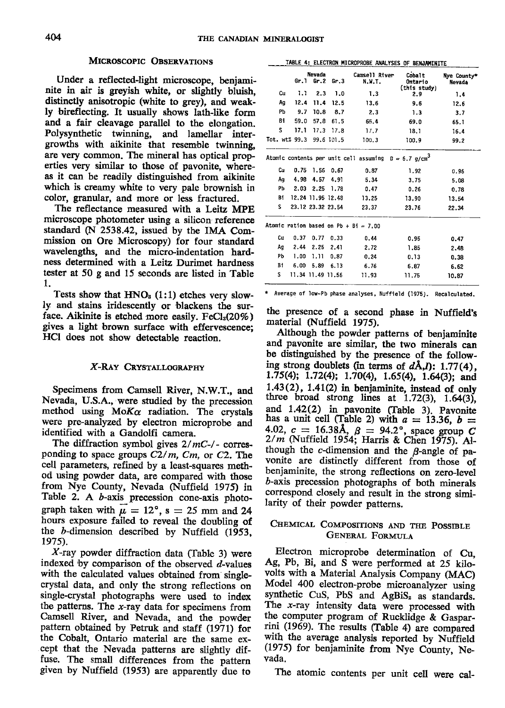#### MICROSCOPIC OBSERVATIONS

Under a reflected-light microscope, benjaminite in air is greyish white, or slightly bluish, distinctly anisotropic (white to grey), and weakly bireflecting. It usually shows lath-like form and a fair cleavage parallel to the elongation. Polysynthetic twinning, and lamellar intergrowths with aikinite that resemble twinning, are very common. The mineral has optical properties very similar to those of pavonite, whereas it can be readily distinguished from aikinite which is creamy white to very pale brownish in color, granular, and more or less fractured.

The reflectance measured with a Leitz MPE microscope photometer using a silicon reference standard (N 2538.42, issued by tbe IMA Commission on Ore Microscopy) for four standard wavelengths, and the micro-indentation hardness determined with a Leitz Durimet hardness tester at 50 g and 15 seconds are listed in Table 1 .

Tests show that  $HNO<sub>3</sub>$  (1:1) etches very slowly and stains iridescently or blackens the surface. Aikinite is etched more easily.  $FeCl<sub>3</sub>(20%)$ gives a light brown surface with effervescence; HCI does not show detectable reaction.

#### X-RAY CRYSTALLOGRAPHY

Specimens from Camsell River, N.W.T., and Nevada, U.S.A., were studied by the precession method using  $M \circ K \alpha$  radiation. The crystals were pre-analyzed by electron microprobe and identified with a Gandolfi camera.

The diffraction symbol gives  $2/mC$ -/- corresponding to space groups  $C2/m$ ,  $Cm$ , or  $C2$ . The cell parameters, refined by a least-squares metlod using powder data, are compared with those from Nye County, Nevada (Nuffield 1975) in Table 2. A b-axis precession cone-axis photograph taken with  $\mu = 12^{\circ}$ , s = 25 mm and 24 hours exposure failed to reveal the doubling of the  $b$ -dimension described by Nuffield  $(1953,$ 1975).

 $X$ -ray powder diffraction data (Table 3) were indexed by comparison of the observed  $d$ -values with the calculated values obtained from singlecrystal data, and only the strong reflections on single-crystal photographs were used to index the patterns. The  $x$ -ray data for specimens from Camsell River, and Nevada, and the powder pattern obtained by Petruk and staff (1971) for the Cobalt, Ontario material are the same except that the Nevada patterns are slightly diffuse. The small differences from the pattern given by Nuffield (1953) are apparently due to

|    | Gr.l                     | <br>Gr.2          | Gr.3                 | campais Viagl.<br>N.W.T.                                           | wwait<br>Ontario    | nye upunty-<br>Nevada |
|----|--------------------------|-------------------|----------------------|--------------------------------------------------------------------|---------------------|-----------------------|
| Сu | 1.1                      |                   | $2.3$ 1.0            | 1.3                                                                | (this study)<br>2.9 | 1,4                   |
| Ag |                          | $12.4$ $11.4$     | 12.5                 | 13.6                                                               | 9.6                 | 12.6                  |
| Ph | 9.7                      |                   | $10.8$ 8.7           | 2.3                                                                | 1.3                 | 3,7                   |
| Bi | 59.0                     | 57.8              | 61.5                 | 65.4                                                               | 69.0                | 65.1                  |
| s. |                          |                   | $17.1$ $17.3$ $17.8$ | 17.7                                                               | 18.1                | 16.4                  |
|    | Tot. wt% 99.3 99.6 101.5 |                   |                      | 100.3                                                              | 100.9               | 99.2                  |
|    |                          |                   |                      | Atomic contents per unit cell assuming $D = 6.7$ g/cm <sup>3</sup> |                     |                       |
| Cu |                          | $0.75$ 1.56       | 0.67                 | 0.87                                                               | 1.92                | 0.96                  |
| Ag |                          |                   | 4.98 4.57 4.91       | 5.34                                                               | 3.75                | 5.08                  |
| PЪ |                          |                   | 2.03 2.25 1.78       | 0.47                                                               | 0.26                | 0.78                  |
| Bi |                          |                   | 12.24 11.95 12.48    | 13.25                                                              | 13.90               | 13.54                 |
| s. |                          |                   | 23.12 23.32 23.54    | 23.37                                                              | 23.76               | 22.34                 |
|    |                          |                   |                      | Atomic ration based on Pb + Bi = 7.00                              |                     |                       |
| Cu | 0.37                     | 0.77              | 0.33                 | 0.44                                                               | 0.95                | 0.47                  |
| Ag |                          | $2.44$ $2.25$     | 2.41                 | 2.72                                                               | 1.85                | 2.48                  |
| Рb | 1.00                     |                   | 1.11 0.87            | 0.24                                                               | 0, 13               | 0.38                  |
| Bt |                          | 6.00 5.89 6.13    |                      | 6.76                                                               | 6.87                | 6.62                  |
| S  |                          | 11.34 11.49 11.56 |                      | 11.93                                                              | 11.75               | 10.87                 |
|    |                          |                   |                      |                                                                    |                     |                       |

TABLE 4: ELECTRON MICROPROBE ANALYSES OF BENJAMINITE Nevada Camsell River Cobalt

\* Average of low-Pb phase analyses, Nuffield (1975). Recalculated.

the presence of a second phase in Nuffield's material (Nuffield 1975).

Although the powder patterns of benjaminite and pavonite are similar, the two minerals can be distinguished by the presence of the following strong doublets (in terms of  $dA, D$ : 1.77(4), 1.75(4); 1.72(4); 1.70(4), 1.65(4), 1.64(3); and  $1.43(2)$ ,  $1.41(2)$  in benjaminite, instead of only three broad strong lines at  $1.72(3)$ ,  $1.64(3)$ , and 1.42(2) in pavonite (fable 3). pavonite has a unit cell (Table 2) with  $a = 13.36$ ,  $b =$ 4.02,  $c = 16.38$ Å,  $\beta = 94.2^{\circ}$ , space group C  $2/m$  (Nuffield, 1954; Harris & Chen 1975). Although the  $c$ -dimension and the  $\beta$ -angle of pavonite are distinctly different from those of benjaminite, the strong reflections on zero-level D-axis precession photographs of both minerals correspond closely and result in the strong similarity of their powder patterns.

# CHEMICAL COMPOSITIONS AND THE POSSIBLE GENERAL FORMULA

Electron microprobe determination of Cu, Ag, Pb, Bi, and S were performed at 25 kilovolts with a Material Analysis Company (MAC) Model 400 electron-probe microanalyzer using synthetic CuS, PbS and AgBiS<sub>2</sub> as standards. The  $x$ -ray intensity data were processed with the computer program of Rucklidge & Gasparrini (1969). The results (Table 4) are compared with the average analysis reported by Nuffield (1915) for benjaminite from- Nye County, Nevada.

The atomic contents per unit cell were cal-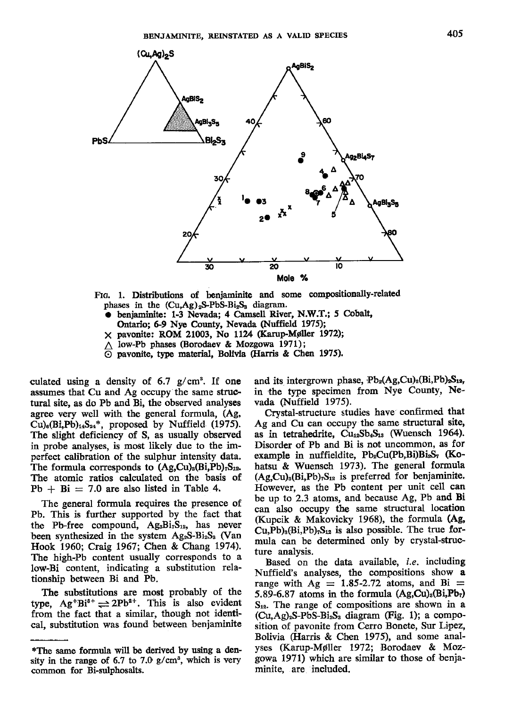

Frc. 1. Distributions of beniaminite aad some compositionally-related phases in the  $(Cu, Ag)_2S-PbS-Bi_2S_3$  diagram.

- benjaminite: 1-3 Nevada; 4 Camsell River, N.W.T.; 5 Cobalt, Ontario; 6-9 Nye County, Nevada (Nuffield 1975);
- $\times$  pavonite: ROM 21003, No 1124 (Karup-Møller 1972);
- $\triangle$  low-Pb phases (Borodaev & Mozgowa 1971);

 $\overline{\odot}$  pavonite, type material, Bolivia (Harris & Chen 1975).

culated using a density of  $6.7$  g/cm<sup>3</sup>. If one assumes that Cu and Ag occupy the same structural site, as do Pb and Bi, the observed analyses agree very well with the general formula, (Ag,  $Cu$ )<sub>6</sub>(Bi,Pb)<sub>14</sub>S<sub>24</sub>\*, proposed by Nuffield (1975). The sligbt deficiency of S, as usually observed in probe analyses, is most likely due to the imperfect calibration of the sulphur intensity data. The formula corresponds to  $(Ag,Cu)_{3}(Bi,Pb)_{7}S_{12}$ . The atomic ratios calculated on the basis of  $Pb + Bi = 7.0$  are also listed in Table 4.

The general formula requires the presence of Pb. This is further supported by the fact that the Pb-free compound,  $Ag_3Bi_7S_{12}$ , has never been synthesized in the system  $Ag_2S-Bi_2S_3$  (Van Hook 1960; Craig 1967; Chen & Chang 1974). The high-Pb content usually corresponds to a low-Bi content, indicating a substitution relationship between Bi and Pb.

The substitutions are most probably of the type,  $Ag^+Bi^{3+} \rightleftharpoons 2Pb^{2+}$ . This is also evident from the fact that a similar, though not identical, substitution was found between benjaminite and its intergrown phase,  $Pb_2(Ag,Cu)_2(Bi,Pb)_{2}S_{12}$ , in the type specimen from Nye County, Nevada (Nuffield 1975).

Crystal-structure studies have confirmed that Ag and Cu can occupy the same structural site, as in tetrahedrite,  $Cu_{12}Sb_{4}S_{13}$  (Wuensch 1964). Disorder of Pb and Bi is not uncommon, as for example in nuffieldite, Pb<sub>2</sub>Cu(Pb,Bi)Bi<sub>2</sub>S<sub>7</sub> (Kohatsu & Wuensch 1973). The general formula  $(Ag,Cu)_{3}(Bi,Pb)_{7}S_{12}$  is preferred for benjaminite. However, as the Pb content per unit cell can be up to 2.3 atoms, and because Ag, Pb and Bi can also occupy tbe same structural location (Kupcik & Makovicky 1968), the formula (Ag,  $Cu, Pb$ <sub>3</sub> $(Bi, Pb)$ <sub>7</sub> $S_{12}$  is also possible. The true formula can be determined only by crystal-structure analysis.

Based on the data available, *i.e.* including Nuffield's analyses, the compositions show a range with  $Ag = 1.85{\text -}2.72$  atoms, and Bi = 5.89-6.87 atoms in the formula  $(Ag,Cu)_{3}(Bi,Pb_{7})$  $S_{12}$ . The range of compositions are shown in a  $(Cu, Ag)_2S-PbS-Bi_2S_3$  diagram (Fig. 1); a composition of pavonite from Cerro Bonete, Sur Lipez, Bolivia (Harris & Chen 1975), and some analyses (Karup-Møller 1972; Borodaev & Mozgowa 1971) which are similar to those of benjaminite, are included.

<sup>\*</sup>The same formula will be derived by using a density in the range of 6.7 to 7.0  $g/cm^3$ , which is very common for Bi-zulphosalts.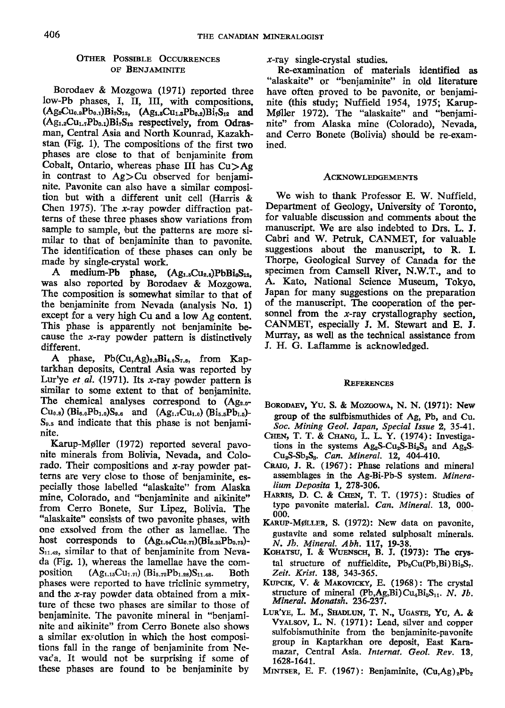# OTHER POSSIBLE OCCURRENCES OF BENJAMINITE

Borodaev & Mozgowa (1971) reported three low-Pb phases, I, II, IU, with compositions,  $(Ag_2Cu_{0.9}Pb_{0.1})Bi_7S_{12}$ ,  $(Ag_{1.5}Cu_{1.3}Pb_{0.2})Bi_7S_{12}$  and  $(Ag_{1.2}Cu_{1.7}Pb_{0.1})Bi_7S_{12}$  respectively, from Odrasman, Central Asia and North Kounrad, Kazakhstan (Fig. 1). The compositions of the first two phases are close to that of benjaminite from Cobalt, Ontario, whereas phase III has  $Cu>Ag$ in contrast to  $Ag > Cu$  observed for benjaminite. Pavonite can also have a similar comoosition but with a different unit cell (flarris & Chen 1975). The  $x$ -ray powder diffraction patterns of these three phases show variations from sample to sample, but the patterns are more similar to that of benjaminite than to pavonite. The identification of these phases can only be made by single-crystal work.

A medium-Pb phase,  $(Ag_{1.5}Cu_{2.5})PbBi_6S_{12}$ , was also reported by Borodaev & Mozgowa. The composition is somewhat similar to that of the benjaminite from Nevada (analysis No. 1) except for a very high Cu and a low Ag content. This phase is apparently not benjaminite because the  $x$ -ray powder pattern is distinctively different.

A phase,  $Pb(Cu, Ag)_{2,2}Bi_{4,6}S_{7,6}$ , from Kaptarkhan deposits, Central Asia was reported by Lur'ye et al. (1971). Its x-ray powder pattern is similar to some extent to that of beniaminite. The chemical analyses correspond to  $(Ag_{2.0}$ - $Cu_{0.8}$ ) (Bi<sub>6.0</sub>Pb<sub>1.0</sub>)S<sub>9.6</sub> and (Ag<sub>1.7</sub>Cu<sub>1.0</sub>) (Bi<sub>5.5</sub>Pb<sub>1.5</sub>)- $S_{9.5}$  and indicate that this phase is not benjaminite.

Karup-Møller (1972) reported several pavonite minerals from Bolivia, Nevada, and Colorado. Their compositions and  $x$ -ray powder patterns are very close to those of benjaminite, especially those labelled "alaskaite" from Alaska mine, Colorado, and "benjaminite and aikinite" from Cerro Bonete, Sur Lipez, Bolivia. The "alaskaite" consists of two pavonite phases, with one exsolved from the other as lamellae. The host corresponds to  $(Ag_{1.64}Cu_{0.71})(Bi_{6.25}Pb_{0.75})$ - $S<sub>11.42</sub>$ , similar to that of benjaminite from Nevada (Fig. 1), whereas the lamellae have the com-<br>position  $(Ag_{1.18}Cu_{1.71}) (Bi_{5.72}Pb_{1.28})S_{11.48}$ . Both  $(Ag_{1.15}Cu_{1.71})$   $(Bi_{5.72}Pb_{1.28})S_{11.48}$ . Both phases were reported to have triclinic symmetry, and the x-ray powder data obtained from a mixture of these two phases are similar to those of benjaminite. The pavonite mineral in "benjaminite and aikinite" from Cerro Bonete also shows a similar ex:olution in which the host compositions fall in the range of benjaminite from Nevac'a. It would not be surprising if some of tbese phases are found to be benjaminite by

 $x$ -ray single-crystal studies.

Re-examination of materials identified as "alaskaite" or "benjaminite" in old literature have often proved to be pavonite, or benjaminite (this study; Nuffield 1954, 1975; Karup-Møller 1972). The "alaskaite" and "benjaminite" from Alaska mine (Colorado), Nevada, and Cerro Bonete (Bolivia) should be re-examined.

# ACKNOWLEDGEMENTS

We wish to thank Professor E. W. Nuffield, Department of Geology, University of Toronto, for valuable discussion and comments about the manuscript. We are also indebted to Drs. L. J. Cabri and W. Petruk, CANMBT, for valuable suggestions about the manuscript, to R. I. Thorpe, Geological Survey of Canada for the specimen from Camsell River, N.W.T., and to A. Kato, National Science Museum, Tokyo, Japan for many suggestions on the preparation of the manuscript. The cooperation of the personnel from the  $x$ -ray crystallography section, CANMET, especially J. M. Stewart and E. J. Murray, as well as the technical assistance from J. H. G. Laflamme is acknowledged.

### **REFERENCES**

- BORODAEV, YU. S. & MOZGOWA, N. N. (1971): New group of the sulfbismuthides of Ag, Pb, and Cu. Soc. Mining Geol. Japan, Special Issue 2, 35-4L,
- CHEN, T. T. & CHANG, L. L. Y. (1974): Investigations in the systems  $Ag<sub>2</sub>S-Cu<sub>2</sub>S-Bi<sub>2</sub>S<sub>3</sub>$  and Ag<sub>2</sub>S- $Cu<sub>2</sub>S-Sb<sub>2</sub>S<sub>3</sub>$ , *Can. Mineral.* 12, 404-410.
- Cnaro, J. R. (1967): Phase relations and mineral assemblages in the Ag-Bi-Pb-S system. Mineralium Deposita 1, 278-306.
- HARRIS, D. C. & CHEN, T. T. (1975): Studies of type pavonite material. Can. Mineral. 13, 000-000.
- KARUP-MØLLER, S. (1972): New data on pavonite, gustavite and some related sulphosalt minerals. N. Jb. Mineral. Abh. 117, 19-38.<br>KOHATSU, I. & WUENSCH, B. J. (1973): The crys-
- tal structure of nuffieldite,  $Pb_2Cu(Pb,Bi)Bi_2S_7$ . Zeit. Krist, 138, 343-365.
- KUPCIK, V. & MAKOVICKY, E. (1968): The crystal structure of mineral (Pb,Ag,Bi)Cu<sub>4</sub>Bi<sub>s</sub>S<sub>11</sub>. N. Jb. Mineral. Monatsh. 236-237.
- LUR'YE, L. M., SHADLUN, T. N., UGASTE, YU, A. & VYALSOV, L. N. (1971): Lead, silver and copper sulfobismuthinite from the benjaminite-pavonite group in Kaptarkhan ore deposit, East Karamazar, Central Asia. Internat. Geol. Rev. 18, t628-1641.
- MINTSER, E. F. (1967): Benjaminite,  $(Cu, Ag)_{2}Pb_{2}$